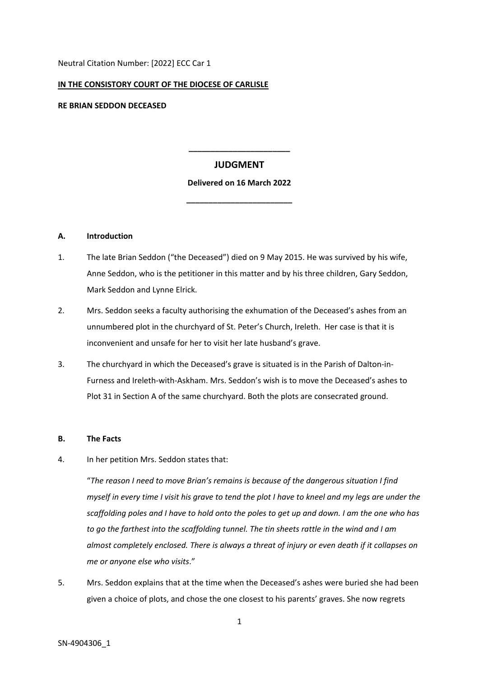Neutral Citation Number: [2022] ECC Car 1

#### **IN THE CONSISTORY COURT OF THE DIOCESE OF CARLISLE**

**RE BRIAN SEDDON DECEASED**

# **JUDGMENT**

**\_\_\_\_\_\_\_\_\_\_\_\_\_\_\_\_\_\_\_\_\_\_\_**

## **Delivered on 16 March 2022**

**\_\_\_\_\_\_\_\_\_\_\_\_\_\_\_\_\_\_\_\_\_\_\_\_**

#### **A. Introduction**

- 1. The late Brian Seddon ("the Deceased") died on 9 May 2015. He was survived by his wife, Anne Seddon, who is the petitioner in this matter and by his three children, Gary Seddon, Mark Seddon and Lynne Elrick.
- 2. Mrs. Seddon seeks a faculty authorising the exhumation of the Deceased's ashes from an unnumbered plot in the churchyard of St. Peter's Church, Ireleth. Her case is that it is inconvenient and unsafe for her to visit her late husband's grave.
- 3. The churchyard in which the Deceased's grave is situated is in the Parish of Dalton-in-Furness and Ireleth-with-Askham. Mrs. Seddon's wish is to move the Deceased's ashes to Plot 31 in Section A of the same churchyard. Both the plots are consecrated ground.

## **B. The Facts**

SN-4904306\_1

4. In her petition Mrs. Seddon states that:

"*The reason I need to move Brian's remains is because of the dangerous situation I find* myself in every time I visit his grave to tend the plot I have to kneel and my legs are under the scaffolding poles and I have to hold onto the poles to get up and down. I am the one who has *to go the farthest into the scaffolding tunnel. The tin sheets rattle in the wind and I am almost completely enclosed. There is always a threat of injury or even death if it collapses on me or anyone else who visits*."

5. Mrs. Seddon explains that at the time when the Deceased's ashes were buried she had been given a choice of plots, and chose the one closest to his parents' graves. She now regrets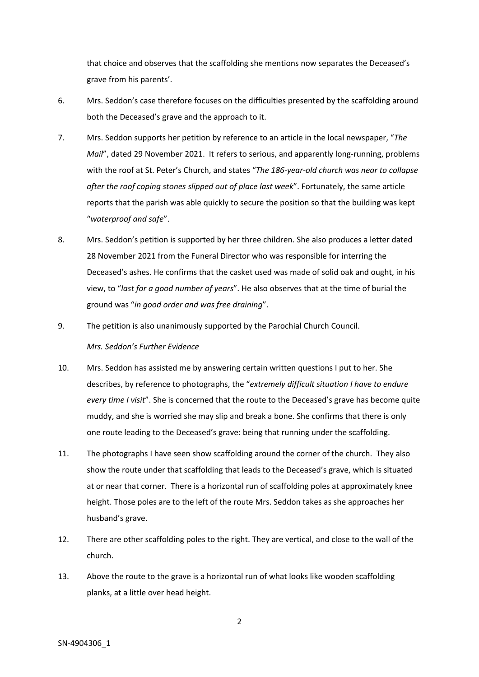that choice and observes that the scaffolding she mentions now separates the Deceased's grave from his parents'.

- 6. Mrs. Seddon's case therefore focuses on the difficulties presented by the scaffolding around both the Deceased's grave and the approach to it.
- 7. Mrs. Seddon supports her petition by reference to an article in the local newspaper, "*The Mail*", dated 29 November 2021. It refers to serious, and apparently long-running, problems with the roof at St. Peter's Church, and states "*The 186-year-old church was near to collapse after the roof coping stones slipped out of place last week*". Fortunately, the same article reports that the parish was able quickly to secure the position so that the building was kept "*waterproof and safe*".
- 8. Mrs. Seddon's petition is supported by her three children. She also produces a letter dated 28 November 2021 from the Funeral Director who was responsible for interring the Deceased's ashes. He confirms that the casket used was made of solid oak and ought, in his view, to "*last for a good number of years*". He also observes that at the time of burial the ground was "*in good order and was free draining*".
- 9. The petition is also unanimously supported by the Parochial Church Council. *Mrs. Seddon's Further Evidence*
- 10. Mrs. Seddon has assisted me by answering certain written questions I put to her. She describes, by reference to photographs, the "*extremely difficult situation I have to endure every time I visit*". She is concerned that the route to the Deceased's grave has become quite muddy, and she is worried she may slip and break a bone. She confirms that there is only one route leading to the Deceased's grave: being that running under the scaffolding.
- 11. The photographs I have seen show scaffolding around the corner of the church. They also show the route under that scaffolding that leads to the Deceased's grave, which is situated at or near that corner. There is a horizontal run of scaffolding poles at approximately knee height. Those poles are to the left of the route Mrs. Seddon takes as she approaches her husband's grave.
- 12. There are other scaffolding poles to the right. They are vertical, and close to the wall of the church.
- 13. Above the route to the grave is a horizontal run of what looks like wooden scaffolding planks, at a little over head height.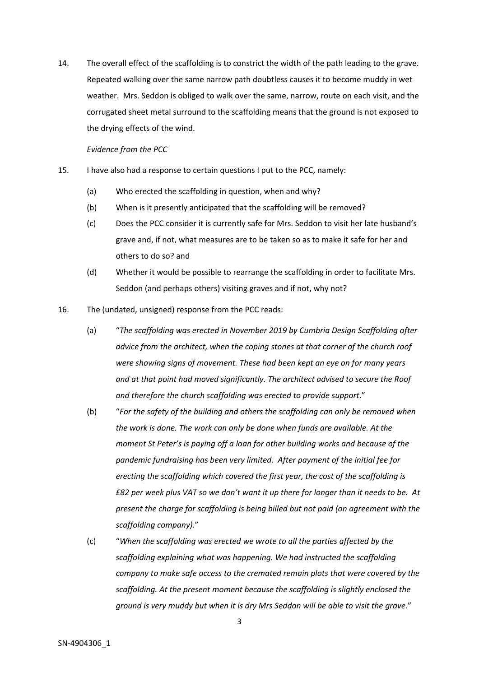14. The overall effect of the scaffolding is to constrict the width of the path leading to the grave. Repeated walking over the same narrow path doubtless causes it to become muddy in wet weather. Mrs. Seddon is obliged to walk over the same, narrow, route on each visit, and the corrugated sheet metal surround to the scaffolding means that the ground is not exposed to the drying effects of the wind.

*Evidence from the PCC*

- 15. I have also had a response to certain questions I put to the PCC, namely:
	- (a) Who erected the scaffolding in question, when and why?
	- (b) When is it presently anticipated that the scaffolding will be removed?
	- (c) Does the PCC consider it is currently safe for Mrs. Seddon to visit her late husband's grave and, if not, what measures are to be taken so as to make it safe for her and others to do so? and
	- (d) Whether it would be possible to rearrange the scaffolding in order to facilitate Mrs. Seddon (and perhaps others) visiting graves and if not, why not?
- 16. The (undated, unsigned) response from the PCC reads:
	- (a) "*The scaffolding was erected in November 2019 by Cumbria Design Scaffolding after advice from the architect, when the coping stones at that corner of the church roof were showing signs of movement. These had been kept an eye on for many years and at that point had moved significantly. The architect advised to secure the Roof and therefore the church scaffolding was erected to provide support*."
	- (b) "*For the safety of the building and others the scaffolding can only be removed when the work is done. The work can only be done when funds are available. At the moment St Peter's is paying off a loan for other building works and because of the pandemic fundraising has been very limited. After payment of the initial fee for erecting the scaffolding which covered the first year, the cost of the scaffolding is £82 per week plus VAT so we don't want it up there for longer than it needs to be. At present the charge for scaffolding is being billed but not paid (on agreement with the scaffolding company).*"
	- (c) "*When the scaffolding was erected we wrote to all the parties affected by the scaffolding explaining what was happening. We had instructed the scaffolding company to make safe access to the cremated remain plots that were covered by the scaffolding. At the present moment because the scaffolding is slightly enclosed the ground is very muddy but when it is dry Mrs Seddon will be able to visit the grave*."

3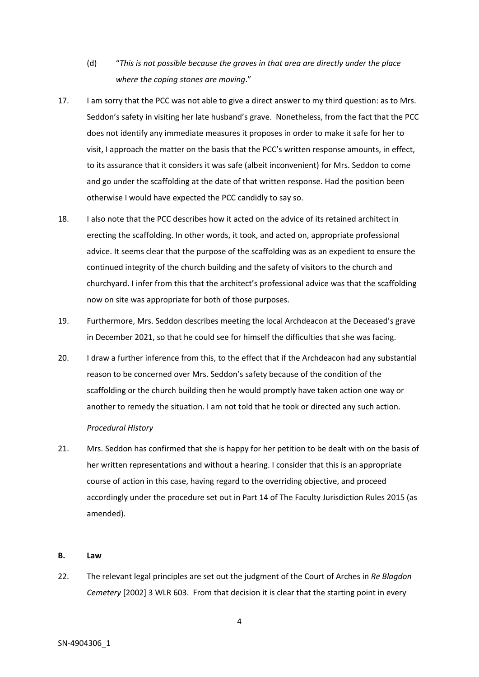- (d) "*This is not possible because the graves in that area are directly under the place where the coping stones are moving*."
- 17. I am sorry that the PCC was not able to give a direct answer to my third question: as to Mrs. Seddon's safety in visiting her late husband's grave. Nonetheless, from the fact that the PCC does not identify any immediate measures it proposes in order to make it safe for her to visit, I approach the matter on the basis that the PCC's written response amounts, in effect, to its assurance that it considers it was safe (albeit inconvenient) for Mrs. Seddon to come and go under the scaffolding at the date of that written response. Had the position been otherwise I would have expected the PCC candidly to say so.
- 18. I also note that the PCC describes how it acted on the advice of its retained architect in erecting the scaffolding. In other words, it took, and acted on, appropriate professional advice. It seems clear that the purpose of the scaffolding was as an expedient to ensure the continued integrity of the church building and the safety of visitors to the church and churchyard. I infer from this that the architect's professional advice was that the scaffolding now on site was appropriate for both of those purposes.
- 19. Furthermore, Mrs. Seddon describes meeting the local Archdeacon at the Deceased's grave in December 2021, so that he could see for himself the difficulties that she was facing.
- 20. I draw a further inference from this, to the effect that if the Archdeacon had any substantial reason to be concerned over Mrs. Seddon's safety because of the condition of the scaffolding or the church building then he would promptly have taken action one way or another to remedy the situation. I am not told that he took or directed any such action.

## *Procedural History*

21. Mrs. Seddon has confirmed that she is happy for her petition to be dealt with on the basis of her written representations and without a hearing. I consider that this is an appropriate course of action in this case, having regard to the overriding objective, and proceed accordingly under the procedure set out in Part 14 of The Faculty Jurisdiction Rules 2015 (as amended).

## **B. Law**

22. The relevant legal principles are set out the judgment of the Court of Arches in *Re Blagdon Cemetery* [2002] 3 WLR 603. From that decision it is clear that the starting point in every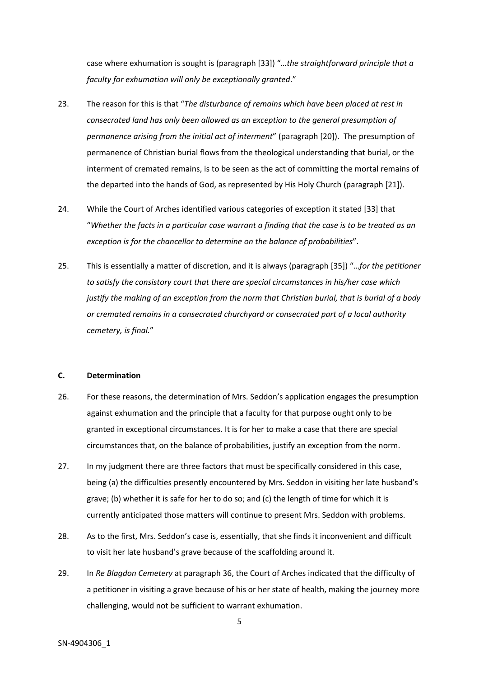case where exhumation is sought is (paragraph [33]) "*…the straightforward principle that a faculty for exhumation will only be exceptionally granted*."

- 23. The reason for this is that "*The disturbance of remains which have been placed at rest in consecrated land has only been allowed as an exception to the general presumption of permanence arising from the initial act of interment*" (paragraph [20]). The presumption of permanence of Christian burial flows from the theological understanding that burial, or the interment of cremated remains, is to be seen as the act of committing the mortal remains of the departed into the hands of God, as represented by His Holy Church (paragraph [21]).
- 24. While the Court of Arches identified various categories of exception it stated [33] that "Whether the facts in a particular case warrant a findina that the case is to be treated as an *exception is for the chancellor to determine on the balance of probabilities*".
- 25. This is essentially a matter of discretion, and it is always (paragraph [35]) "…*for the petitioner to satisfy the consistory court that there are special circumstances in his/her case which justify the making of an exception from the norm that Christian burial, that is burial of a body or cremated remains in a consecrated churchyard or consecrated part of a local authority cemetery, is final.*"

## **C. Determination**

- 26. For these reasons, the determination of Mrs. Seddon's application engages the presumption against exhumation and the principle that a faculty for that purpose ought only to be granted in exceptional circumstances. It is for her to make a case that there are special circumstances that, on the balance of probabilities, justify an exception from the norm.
- 27. In my judgment there are three factors that must be specifically considered in this case, being (a) the difficulties presently encountered by Mrs. Seddon in visiting her late husband's grave; (b) whether it is safe for her to do so; and (c) the length of time for which it is currently anticipated those matters will continue to present Mrs. Seddon with problems.
- 28. As to the first, Mrs. Seddon's case is, essentially, that she finds it inconvenient and difficult to visit her late husband's grave because of the scaffolding around it.
- 29. In *Re Blagdon Cemetery* at paragraph 36, the Court of Arches indicated that the difficulty of a petitioner in visiting a grave because of his or her state of health, making the journey more challenging, would not be sufficient to warrant exhumation.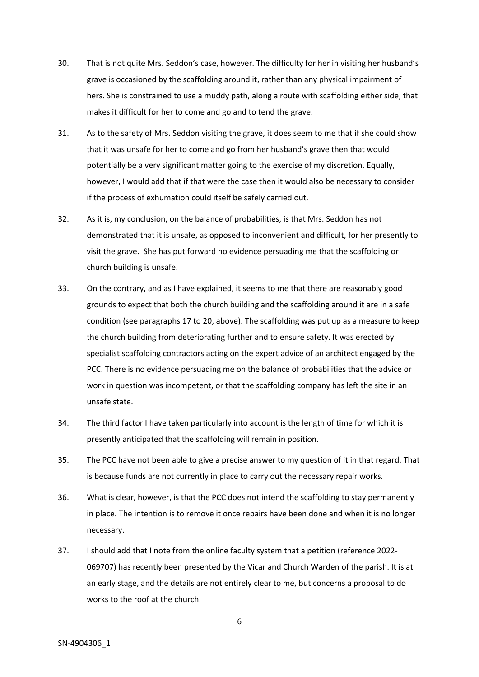- 30. That is not quite Mrs. Seddon's case, however. The difficulty for her in visiting her husband's grave is occasioned by the scaffolding around it, rather than any physical impairment of hers. She is constrained to use a muddy path, along a route with scaffolding either side, that makes it difficult for her to come and go and to tend the grave.
- 31. As to the safety of Mrs. Seddon visiting the grave, it does seem to me that if she could show that it was unsafe for her to come and go from her husband's grave then that would potentially be a very significant matter going to the exercise of my discretion. Equally, however, I would add that if that were the case then it would also be necessary to consider if the process of exhumation could itself be safely carried out.
- 32. As it is, my conclusion, on the balance of probabilities, is that Mrs. Seddon has not demonstrated that it is unsafe, as opposed to inconvenient and difficult, for her presently to visit the grave. She has put forward no evidence persuading me that the scaffolding or church building is unsafe.
- 33. On the contrary, and as I have explained, it seems to me that there are reasonably good grounds to expect that both the church building and the scaffolding around it are in a safe condition (see paragraphs 17 to 20, above). The scaffolding was put up as a measure to keep the church building from deteriorating further and to ensure safety. It was erected by specialist scaffolding contractors acting on the expert advice of an architect engaged by the PCC. There is no evidence persuading me on the balance of probabilities that the advice or work in question was incompetent, or that the scaffolding company has left the site in an unsafe state.
- 34. The third factor I have taken particularly into account is the length of time for which it is presently anticipated that the scaffolding will remain in position.
- 35. The PCC have not been able to give a precise answer to my question of it in that regard. That is because funds are not currently in place to carry out the necessary repair works.
- 36. What is clear, however, is that the PCC does not intend the scaffolding to stay permanently in place. The intention is to remove it once repairs have been done and when it is no longer necessary.
- 37. I should add that I note from the online faculty system that a petition (reference 2022- 069707) has recently been presented by the Vicar and Church Warden of the parish. It is at an early stage, and the details are not entirely clear to me, but concerns a proposal to do works to the roof at the church.

6